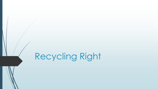# Recycling Right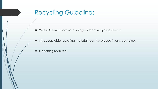## Recycling Guidelines

- Waste Connections uses a single stream recycling model.
- All acceptable recycling materials can be placed in one container
- No sorting required.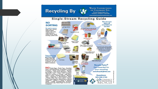### Recycling By



**WASTE CONNECTIONS** OF COLORADO INC. Proud Supporters of a Cleaner, Greener Colorado www.wasteconnectionsofcolorado.com

#### **Single-Stream Recycling Guide**

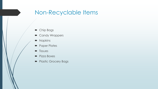### Non-Recyclable Items

- **•** Chip Bags
- Candy Wrappers
- Napkins
- **Paper Plates**
- $\blacksquare$  Tissues
- Pizza Boxes
- **Plastic Grocery Bags**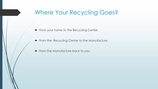## Where Your Recycling Goes?

- From your home to the Recycling Center.
- From the Recycling Center to the Manufacture.
- From the Manufacture back to you.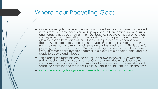### Where Your Recycling Goes

- Once your recycle has been cleaned and sorted inside your home and placed in your recycle container it is picked up by a Waste Connections recycle Truck and heads to EcoCycle. When the truck reaches EcoCycle it is put on a large conveyer belt and the sorting process starts. Plastic, paper products, metal and glass are sorted from each other. Once all the plastics have been sorted together, they are then sorted again by type. Plastic bottles used for water and soda go one way and milk containers go in another and so forth. This is done for paper, glass and metal as well. Once everything has been sorted, the different types of materials are bundled together in big cubs at a certain weight and are ready to be sold and shipped.
- The cleaner the materials are the better. This allows for fewer issues with the sorting equipment and a better price. One contaminated recycle container can cause the entire truck load of material to be deemed contaminated and sends the entire load to the landfill. So if you are in doubt, through it in the trash.
- Go to www.ecocycle.org/videos to see videos on the sorting process.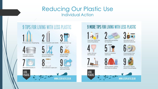### **Reducing Our Plastic Use Individual Action**



#### **9 MORE TIPS FOR LIVING WITH LESS PLASTIC**



natural ingredients

Brush with bamboo

**LESS** 

PLASTIC.





Swap bathroom bottles Use natural oils to cleanse & moisturise



steel razor

for soap bars







Buy local & request plastic-free packaging

**WWW.LESSPLASTIC.CO.UK** 

Invest in a stainless



























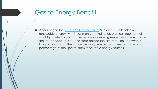### Gas to Energy Benefit

According to the [Colorado Energy Office,](https://www.colorado.gov/pacific/energyoffice/renewable-energy-1) "Colorado is a leader in renewable energy, with investments in wind, solar, biomass, geothermal, small hydroelectric, and other renewable energy resources increasing over the last decade. In 2004, the state passed the first voter-led Renewable Energy Standard in the nation, requiring electricity utilities to obtain a percentage of their power from renewable energy sources."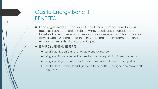### Gas to Energy Benefit BENEFITS

- Landfill gas might be considered the ultimate re-renewable because it recycles trash. And, unlike solar or wind, landfill gas is considered a baseload renewable which means it produces energy 24 hours a day 7 days a week. According to the EPA, here are the environmental and economic benefits of using landfill gas:
- ENVIRONMENTAL BENEFITS
	- Landfill gas is a safe and renewable energy source.
	- Using landfill gas reduces the need to use more polluting forms of energy.
	- Using landfill gas reduces health and community risks, such as air pollution.
	- Landfills that use their landfill gas tend to be better managed and make better neighbors.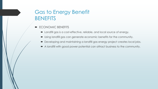### Gas to Energy Benefit **BENEFITS**

- ECONOMIC BENEFITS
	- Landfill gas is a cost-effective, reliable, and local source of energy.
	- Using landfill gas can generate economic benefits for the community.
	- Developing and maintaining a landfill gas energy project creates local jobs.
	- A landfill with good power potential can attract business to the community.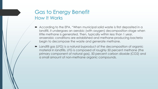#### Gas to Energy Benefit How It Works

- According to the EPA, "When municipal solid waste is first deposited in a landfill, it undergoes an aerobic (with oxygen) decomposition stage when little methane is generated. Then, typically within less than 1 year, anaerobic conditions are established and methane-producing bacteria begin to decompose the waste and generate methane.
- Landfill gas (LFG) is a natural byproduct of the decomposition of organic material in landfills. LFG is composed of roughly 50 percent methane (the primary component of natural gas), 50 percent carbon dioxide (CO2) and a small amount of non-methane organic compounds.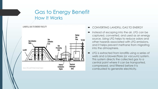#### Gas to Energy Benefit How It Works

LANDFILL GAS TO ENERGY FACILITY



- CONVERTING LANDFILL GAS TO ENERGY
- Instead of escaping into the air, LFG can be captured, converted, and used as an energy source. Using LFG helps to reduce odors and other hazards associated with LFG emissions, and it helps prevent methane from migrating into the atmosphere.
- LFG is extracted from landfills using a series of wells and a blower/flare (or vacuum) system. This system directs the collected gas to a central point where it can be transported, compressed, and filtered before it is combusted to generate electricity.